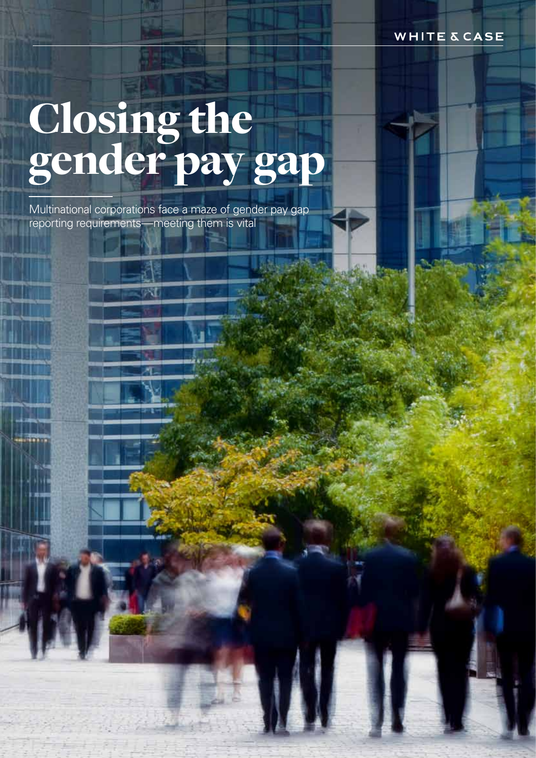**WHITE & CASE** 

# Closing the gender pay gap

Multinational corporations face a maze of gender pay gap reporting requirements—meeting them is vital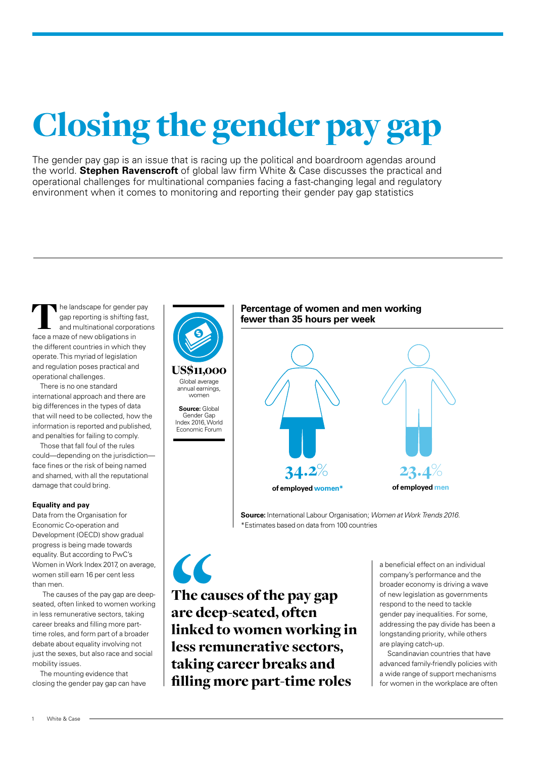## Closing the gender pay gap

The gender pay gap is an issue that is racing up the political and boardroom agendas around the world. **Stephen Ravenscroft** of global law firm White & Case discusses the practical and operational challenges for multinational companies facing a fast-changing legal and regulatory environment when it comes to monitoring and reporting their gender pay gap statistics

he landscape for gender pay gap reporting is shifting fast, and multinational corporations Face a maze of new obligations in<br>
Face a maze of new obligations in the different countries in which they operate. This myriad of legislation and regulation poses practical and operational challenges.

There is no one standard international approach and there are big differences in the types of data that will need to be collected, how the information is reported and published, and penalties for failing to comply.

Those that fall foul of the rules could—depending on the jurisdiction face fines or the risk of being named and shamed, with all the reputational damage that could bring.

### **Equality and pay**

Data from the Organisation for Economic Co-operation and Development (OECD) show gradual progress is being made towards equality. But according to PwC's Women in Work Index 2017, on average, women still earn 16 per cent less than men.

The causes of the pay gap are deepseated, often linked to women working in less remunerative sectors, taking career breaks and filling more parttime roles, and form part of a broader debate about equality involving not just the sexes, but also race and social mobility issues.

The mounting evidence that closing the gender pay gap can have



US\$11,000 Global average annual earnings,

women **Source:** Global Gender Gap Index 2016, World Economic Forum

### **Percentage of women and men working fewer than 35 hours per week**



**Source:** International Labour Organisation; *Women at Work Trends 2016.*  \*Estimates based on data from 100 countries

 $\overline{\mathcal{L}}$ The causes of the pay gap are deep-seated, often linked to women working in less remunerative sectors, taking career breaks and filling more part-time roles

a beneficial effect on an individual company's performance and the broader economy is driving a wave of new legislation as governments respond to the need to tackle gender pay inequalities. For some, addressing the pay divide has been a longstanding priority, while others are playing catch-up.

Scandinavian countries that have advanced family-friendly policies with a wide range of support mechanisms for women in the workplace are often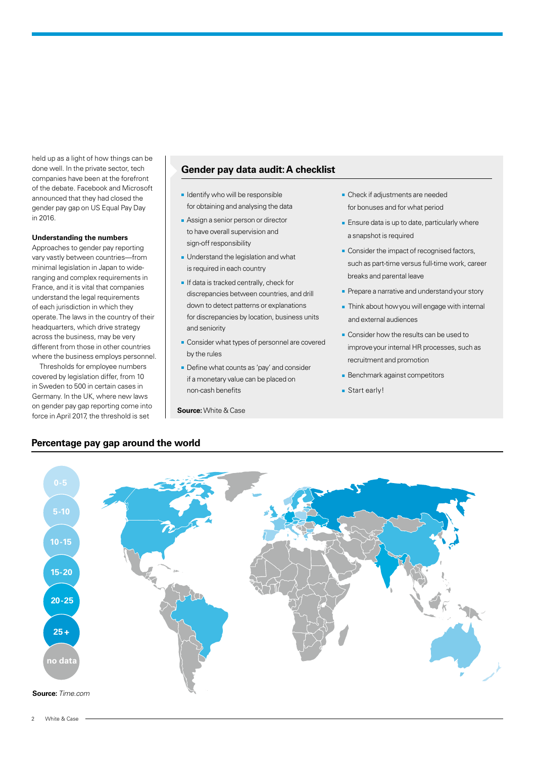held up as a light of how things can be done well. In the private sector, tech companies have been at the forefront of the debate. Facebook and Microsoft announced that they had closed the gender pay gap on US Equal Pay Day in 2016.

#### **Understanding the numbers**

Approaches to gender pay reporting vary vastly between countries—from minimal legislation in Japan to wideranging and complex requirements in France, and it is vital that companies understand the legal requirements of each jurisdiction in which they operate. The laws in the country of their headquarters, which drive strategy across the business, may be very different from those in other countries where the business employs personnel.

Thresholds for employee numbers covered by legislation differ, from 10 in Sweden to 500 in certain cases in Germany. In the UK, where new laws on gender pay gap reporting come into force in April 2017, the threshold is set

**Percentage pay gap around the world**

### **Gender pay data audit: A checklist**

- Identify who will be responsible for obtaining and analysing the data
- Assign a senior person or director to have overall supervision and sign-off responsibility
- Understand the legislation and what is required in each country
- If data is tracked centrally, check for discrepancies between countries, and drill down to detect patterns or explanations for discrepancies by location, business units and seniority
- Consider what types of personnel are covered by the rules
- Define what counts as 'pay' and consider if a monetary value can be placed on non-cash benefits

**Source:** White & Case

- Check if adjustments are needed for bonuses and for what period
- Ensure data is up to date, particularly where a snapshot is required
- Consider the impact of recognised factors, such as part-time versus full-time work, career breaks and parental leave
- Prepare a narrative and understand your story
- Think about how you will engage with internal and external audiences
- Consider how the results can be used to improve your internal HR processes, such as recruitment and promotion
- Benchmark against competitors
- Start early!

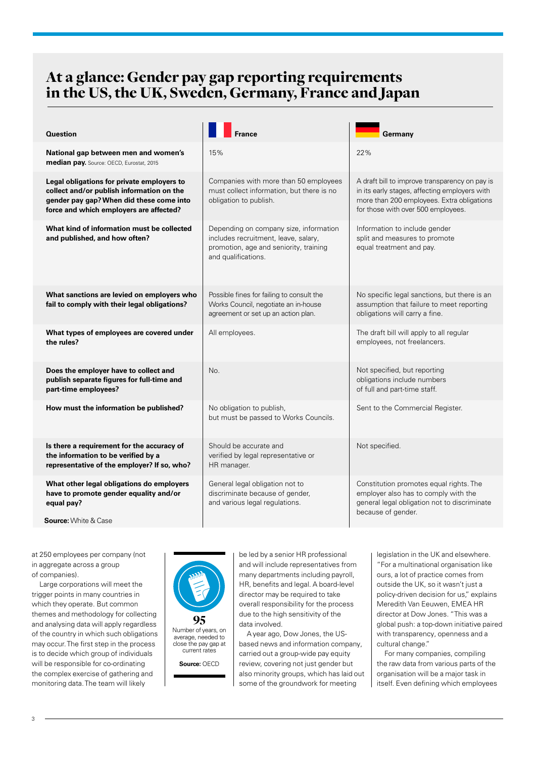### At a glance: Gender pay gap reporting requirements in the US, the UK, Sweden, Germany, France and Japan

| <b>Question</b>                                                                                                                                                                |                                                                                                                                                 | Germany                                                                                                                                                                             |  |
|--------------------------------------------------------------------------------------------------------------------------------------------------------------------------------|-------------------------------------------------------------------------------------------------------------------------------------------------|-------------------------------------------------------------------------------------------------------------------------------------------------------------------------------------|--|
| National gap between men and women's<br>median pay. Source: OECD, Eurostat, 2015                                                                                               | 15%                                                                                                                                             | 22%                                                                                                                                                                                 |  |
| Legal obligations for private employers to<br>collect and/or publish information on the<br>gender pay gap? When did these come into<br>force and which employers are affected? | Companies with more than 50 employees<br>must collect information, but there is no<br>obligation to publish.                                    | A draft bill to improve transparency on pay is<br>in its early stages, affecting employers with<br>more than 200 employees. Extra obligations<br>for those with over 500 employees. |  |
| What kind of information must be collected<br>and published, and how often?                                                                                                    | Depending on company size, information<br>includes recruitment, leave, salary,<br>promotion, age and seniority, training<br>and qualifications. | Information to include gender<br>split and measures to promote<br>equal treatment and pay.                                                                                          |  |
| What sanctions are levied on employers who<br>fail to comply with their legal obligations?                                                                                     | Possible fines for failing to consult the<br>Works Council, negotiate an in-house<br>agreement or set up an action plan.                        | No specific legal sanctions, but there is an<br>assumption that failure to meet reporting<br>obligations will carry a fine.                                                         |  |
| What types of employees are covered under<br>the rules?                                                                                                                        | All employees.                                                                                                                                  | The draft bill will apply to all regular<br>employees, not freelancers.                                                                                                             |  |
| Does the employer have to collect and<br>publish separate figures for full-time and<br>part-time employees?                                                                    | No.                                                                                                                                             | Not specified, but reporting<br>obligations include numbers<br>of full and part-time staff.                                                                                         |  |
| How must the information be published?                                                                                                                                         | No obligation to publish,<br>but must be passed to Works Councils.                                                                              | Sent to the Commercial Register.                                                                                                                                                    |  |
| Is there a requirement for the accuracy of<br>the information to be verified by a<br>representative of the employer? If so, who?                                               | Should be accurate and<br>verified by legal representative or<br>HR manager.                                                                    | Not specified.                                                                                                                                                                      |  |
| What other legal obligations do employers<br>have to promote gender equality and/or<br>equal pay?<br><b>Source:</b> White & Case                                               | General legal obligation not to<br>discriminate because of gender,<br>and various legal regulations.                                            | Constitution promotes equal rights. The<br>employer also has to comply with the<br>general legal obligation not to discriminate<br>because of gender.                               |  |

at 250 employees per company (not in aggregate across a group of companies).

Large corporations will meet the trigger points in many countries in which they operate. But common themes and methodology for collecting and analysing data will apply regardless of the country in which such obligations may occur. The first step in the process is to decide which group of individuals will be responsible for co-ordinating the complex exercise of gathering and monitoring data. The team will likely



Number of years, on average, needed to close the pay gap at current rates

**Source:** OECD

be led by a senior HR professional and will include representatives from many departments including payroll, HR, benefits and legal. A board-level director may be required to take overall responsibility for the process due to the high sensitivity of the data involved.

A year ago, Dow Jones, the USbased news and information company, carried out a group-wide pay equity review, covering not just gender but also minority groups, which has laid out some of the groundwork for meeting

legislation in the UK and elsewhere. "For a multinational organisation like ours, a lot of practice comes from outside the UK, so it wasn't just a policy-driven decision for us," explains Meredith Van Eeuwen, EMEA HR director at Dow Jones. "This was a global push: a top-down initiative paired with transparency, openness and a cultural change."

For many companies, compiling the raw data from various parts of the organisation will be a major task in itself. Even defining which employees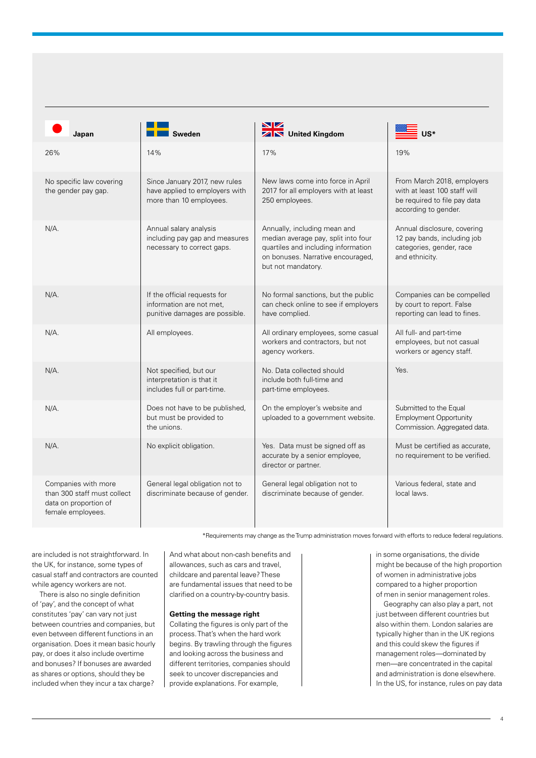| Japan                                                                                            | <b>Sweden</b>                                                                              | NZ.<br><b>ZIN</b> United Kingdom                                                                                                                                      |                                                                                                                    |
|--------------------------------------------------------------------------------------------------|--------------------------------------------------------------------------------------------|-----------------------------------------------------------------------------------------------------------------------------------------------------------------------|--------------------------------------------------------------------------------------------------------------------|
| 26%                                                                                              | 14%                                                                                        | 17%                                                                                                                                                                   | 19%                                                                                                                |
| No specific law covering<br>the gender pay gap.                                                  | Since January 2017, new rules<br>have applied to employers with<br>more than 10 employees. | New laws come into force in April<br>2017 for all employers with at least<br>250 employees.                                                                           | From March 2018, employers<br>with at least 100 staff will<br>be required to file pay data<br>according to gender. |
| $N/A$ .                                                                                          | Annual salary analysis<br>including pay gap and measures<br>necessary to correct gaps.     | Annually, including mean and<br>median average pay, split into four<br>quartiles and including information<br>on bonuses. Narrative encouraged,<br>but not mandatory. | Annual disclosure, covering<br>12 pay bands, including job<br>categories, gender, race<br>and ethnicity.           |
| $N/A$ .                                                                                          | If the official requests for<br>information are not met,<br>punitive damages are possible. | No formal sanctions, but the public<br>can check online to see if employers<br>have complied.                                                                         | Companies can be compelled<br>by court to report. False<br>reporting can lead to fines.                            |
| N/A.                                                                                             | All employees.                                                                             | All ordinary employees, some casual<br>workers and contractors, but not<br>agency workers.                                                                            | All full- and part-time<br>employees, but not casual<br>workers or agency staff.                                   |
| N/A.                                                                                             | Not specified, but our<br>interpretation is that it<br>includes full or part-time.         | No. Data collected should<br>include both full-time and<br>part-time employees.                                                                                       | Yes.                                                                                                               |
| N/A.                                                                                             | Does not have to be published,<br>but must be provided to<br>the unions.                   | On the employer's website and<br>uploaded to a government website.                                                                                                    | Submitted to the Equal<br><b>Employment Opportunity</b><br>Commission. Aggregated data.                            |
| N/A.                                                                                             | No explicit obligation.                                                                    | Yes. Data must be signed off as<br>accurate by a senior employee,<br>director or partner.                                                                             | Must be certified as accurate,<br>no requirement to be verified.                                                   |
| Companies with more<br>than 300 staff must collect<br>data on proportion of<br>female employees. | General legal obligation not to<br>discriminate because of gender.                         | General legal obligation not to<br>discriminate because of gender.                                                                                                    | Various federal, state and<br>local laws.                                                                          |

\*Requirements may change as the Trump administration moves forward with efforts to reduce federal regulations.

are included is not straightforward. In the UK, for instance, some types of casual staff and contractors are counted while agency workers are not.

There is also no single definition of 'pay', and the concept of what constitutes 'pay' can vary not just between countries and companies, but even between different functions in an organisation. Does it mean basic hourly pay, or does it also include overtime and bonuses? If bonuses are awarded as shares or options, should they be included when they incur a tax charge?

And what about non-cash benefits and allowances, such as cars and travel childcare and parental leave? These are fundamental issues that need to be clarified on a country-by-country basis.

### **Getting the message right**

Collating the figures is only part of the process. That's when the hard work begins. By trawling through the figures and looking across the business and different territories, companies should seek to uncover discrepancies and provide explanations. For example,

in some organisations, the divide might be because of the high proportion of women in administrative jobs compared to a higher proportion of men in senior management roles.

Geography can also play a part, not just between different countries but also within them. London salaries are typically higher than in the UK regions and this could skew the figures if management roles—dominated by men—are concentrated in the capital and administration is done elsewhere. In the US, for instance, rules on pay data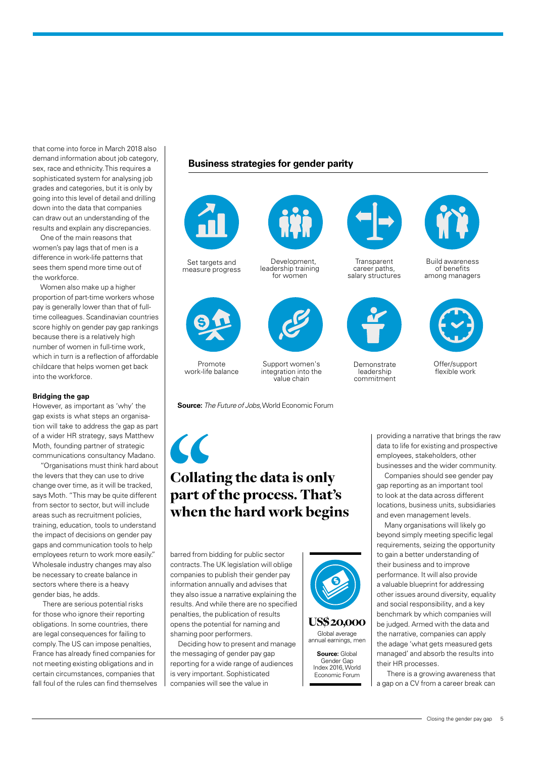that come into force in March 2018 also demand information about job category, sex, race and ethnicity. This requires a sophisticated system for analysing job grades and categories, but it is only by going into this level of detail and drilling down into the data that companies can draw out an understanding of the results and explain any discrepancies.

One of the main reasons that women's pay lags that of men is a difference in work-life patterns that sees them spend more time out of the workforce.

Women also make up a higher proportion of part-time workers whose pay is generally lower than that of fulltime colleagues. Scandinavian countries score highly on gender pay gap rankings because there is a relatively high number of women in full-time work, which in turn is a reflection of affordable childcare that helps women get back into the workforce.

#### **Bridging the gap**

However, as important as 'why' the gap exists is what steps an organisation will take to address the gap as part of a wider HR strategy, says Matthew Moth, founding partner of strategic communications consultancy Madano.

"Organisations must think hard about the levers that they can use to drive change over time, as it will be tracked, says Moth. "This may be quite different from sector to sector, but will include areas such as recruitment policies, training, education, tools to understand the impact of decisions on gender pay gaps and communication tools to help employees return to work more easily." Wholesale industry changes may also be necessary to create balance in sectors where there is a heavy gender bias, he adds.

There are serious potential risks for those who ignore their reporting obligations. In some countries, there are legal consequences for failing to comply. The US can impose penalties, France has already fined companies for not meeting existing obligations and in certain circumstances, companies that fall foul of the rules can find themselves

### **Business strategies for gender parity**



Set targets and measure progress



Promote work-life balance

**Source:** *The Future of Jobs*, World Economic Forum

Support women's integration into the value chain

Development, leadership training for women



### Collating the data is only part of the process. That's when the hard work begins

barred from bidding for public sector contracts. The UK legislation will oblige companies to publish their gender pay information annually and advises that they also issue a narrative explaining the results. And while there are no specified penalties, the publication of results opens the potential for naming and shaming poor performers.

Deciding how to present and manage the messaging of gender pay gap reporting for a wide range of audiences is very important. Sophisticated companies will see the value in



**Source:** Global Gender Gan Index 2016, World Economic Forum



**Transparent** career paths, salary structures



**Demonstrate** leadership commitment



Build awareness of benefits among managers



Offer/support flexible work

providing a narrative that brings the raw data to life for existing and prospective employees, stakeholders, other businesses and the wider community.

Companies should see gender pay gap reporting as an important tool to look at the data across different locations, business units, subsidiaries and even management levels.

Many organisations will likely go beyond simply meeting specific legal requirements, seizing the opportunity to gain a better understanding of their business and to improve performance. It will also provide a valuable blueprint for addressing other issues around diversity, equality and social responsibility, and a key benchmark by which companies will be judged. Armed with the data and the narrative, companies can apply the adage 'what gets measured gets managed' and absorb the results into their HR processes.

There is a growing awareness that a gap on a CV from a career break can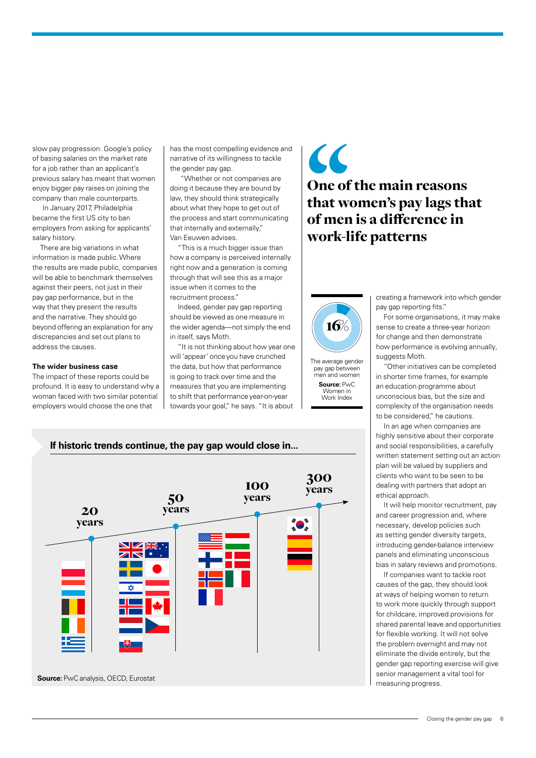slow pay progression. Google's policy of basing salaries on the market rate for a job rather than an applicant's previous salary has meant that women enjoy bigger pay raises on joining the company than male counterparts.

In January 2017, Philadelphia became the first US city to ban employers from asking for applicants' salary history.

There are big variations in what information is made public. Where the results are made public, companies will be able to benchmark themselves against their peers, not just in their pay gap performance, but in the way that they present the results and the narrative. They should go beyond offering an explanation for any discrepancies and set out plans to address the causes.

#### **The wider business case**

The impact of these reports could be profound. It is easy to understand why a woman faced with two similar potential employers would choose the one that

has the most compelling evidence and narrative of its willingness to tackle the gender pay gap.

"Whether or not companies are doing it because they are bound by law, they should think strategically about what they hope to get out of the process and start communicating that internally and externally," Van Eeuwen advises.

"This is a much bigger issue than how a company is perceived internally right now and a generation is coming through that will see this as a major issue when it comes to the recruitment process."

Indeed, gender pay gap reporting should be viewed as one measure in the wider agenda—not simply the end in itself, says Moth.

"It is not thinking about how year one will 'appear' once you have crunched the data, but how that performance is going to track over time and the measures that you are implementing to shift that performance year-on-year towards your goal," he says. "It is about

### $\overline{\mathcal{L}}$ One of the main reasons that women's pay lags that of men is a difference in work-life patterns



The average gender pay gap between men and women **Source:** PwC Women in Work Index

creating a framework into which gender pay gap reporting fits."

For some organisations, it may make sense to create a three-year horizon for change and then demonstrate how performance is evolving annually, suggests Moth.

"Other initiatives can be completed in shorter time frames, for example an education programme about unconscious bias, but the size and complexity of the organisation needs to be considered," he cautions.

In an age when companies are highly sensitive about their corporate and social responsibilities, a carefully written statement setting out an action plan will be valued by suppliers and clients who want to be seen to be dealing with partners that adopt an ethical approach.

It will help monitor recruitment, pay and career progression and, where necessary, develop policies such as setting gender diversity targets, introducing gender-balance interview panels and eliminating unconscious bias in salary reviews and promotions.

If companies want to tackle root causes of the gap, they should look at ways of helping women to return to work more quickly through support for childcare, improved provisions for shared parental leave and opportunities for flexible working. It will not solve the problem overnight and may not eliminate the divide entirely, but the gender gap reporting exercise will give senior management a vital tool for measuring progress.

### **If historic trends continue, the pay gap would close in...**



Closing the gender pay gap 6